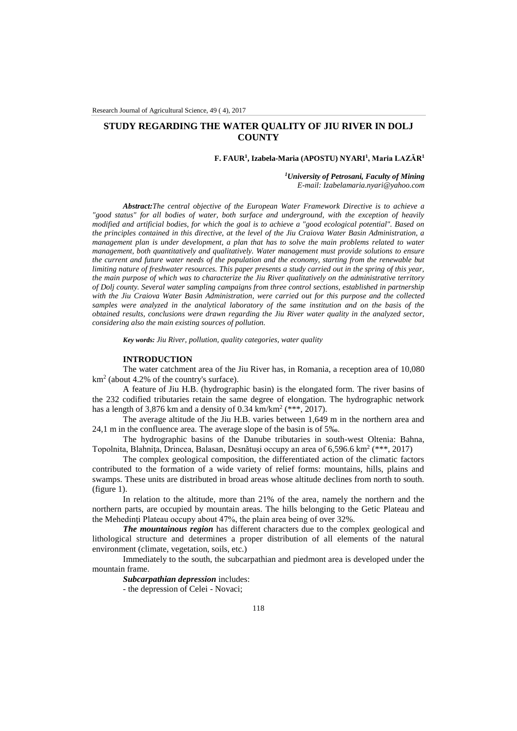# **STUDY REGARDING THE WATER QUALITY OF JIU RIVER IN DOLJ COUNTY**

#### **F. FAUR<sup>1</sup> , Izabela-Maria (APOSTU) NYARI<sup>1</sup> , Maria LAZĂR<sup>1</sup>**

*<sup>1</sup>University of Petrosani, Faculty of Mining E-mail: Izabelamaria.nyari@yahoo.com*

*Abstract:The central objective of the European Water Framework Directive is to achieve a "good status" for all bodies of water, both surface and underground, with the exception of heavily modified and artificial bodies, for which the goal is to achieve a "good ecological potential". Based on the principles contained in this directive, at the level of the Jiu Craiova Water Basin Administration, a management plan is under development, a plan that has to solve the main problems related to water management, both quantitatively and qualitatively. Water management must provide solutions to ensure the current and future water needs of the population and the economy, starting from the renewable but limiting nature of freshwater resources. This paper presents a study carried out in the spring of this year, the main purpose of which was to characterize the Jiu River qualitatively on the administrative territory of Dolj county. Several water sampling campaigns from three control sections, established in partnership with the Jiu Craiova Water Basin Administration, were carried out for this purpose and the collected samples were analyzed in the analytical laboratory of the same institution and on the basis of the obtained results, conclusions were drawn regarding the Jiu River water quality in the analyzed sector, considering also the main existing sources of pollution.*

*Key words: Jiu River, pollution, quality categories, water quality*

## **INTRODUCTION**

The water catchment area of the Jiu River has, in Romania, a reception area of 10,080 km<sup>2</sup> (about 4.2% of the country's surface).

A feature of Jiu H.B. (hydrographic basin) is the elongated form. The river basins of the 232 codified tributaries retain the same degree of elongation. The hydrographic network has a length of 3,876 km and a density of 0.34 km/km<sup>2</sup> (\*\*\*, 2017).

The average altitude of the Jiu H.B. varies between 1,649 m in the northern area and 24,1 m in the confluence area. The average slope of the basin is of 5‰.

The hydrographic basins of the Danube tributaries in south-west Oltenia: Bahna, Topolnita, Blahnița, Drincea, Balasan, Desnătuși occupy an area of 6,596.6 km<sup>2</sup> (\*\*\*, 2017)

The complex geological composition, the differentiated action of the climatic factors contributed to the formation of a wide variety of relief forms: mountains, hills, plains and swamps. These units are distributed in broad areas whose altitude declines from north to south. (figure 1).

In relation to the altitude, more than 21% of the area, namely the northern and the northern parts, are occupied by mountain areas. The hills belonging to the Getic Plateau and the Mehedinţi Plateau occupy about 47%, the plain area being of over 32%.

*The mountainous region* has different characters due to the complex geological and lithological structure and determines a proper distribution of all elements of the natural environment (climate, vegetation, soils, etc.)

Immediately to the south, the subcarpathian and piedmont area is developed under the mountain frame.

*Subcarpathian depression* includes:

- the depression of Celei - Novaci;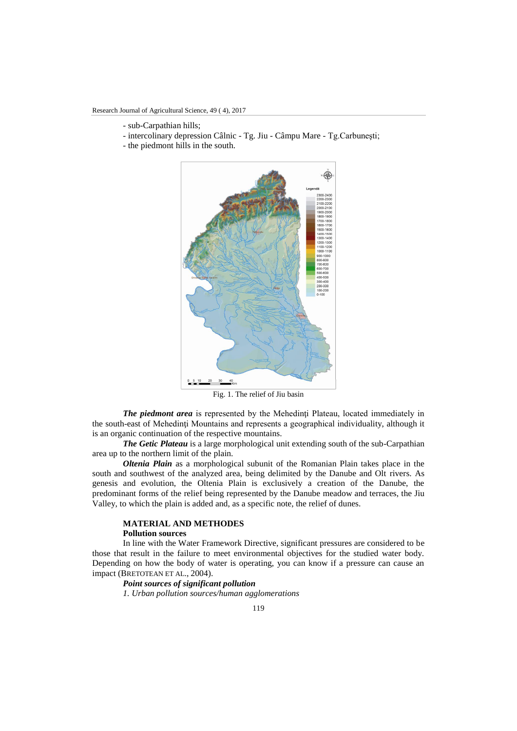- sub-Carpathian hills;
- intercolinary depression Câlnic Tg. Jiu Câmpu Mare Tg.Carbuneşti;
- the piedmont hills in the south.



Fig. 1. The relief of Jiu basin

*The piedmont area* is represented by the Mehedinti Plateau, located immediately in the south-east of Mehedinţi Mountains and represents a geographical individuality, although it is an organic continuation of the respective mountains.

*The Getic Plateau* is a large morphological unit extending south of the sub-Carpathian area up to the northern limit of the plain.

*Oltenia Plain* as a morphological subunit of the Romanian Plain takes place in the south and southwest of the analyzed area, being delimited by the Danube and Olt rivers. As genesis and evolution, the Oltenia Plain is exclusively a creation of the Danube, the predominant forms of the relief being represented by the Danube meadow and terraces, the Jiu Valley, to which the plain is added and, as a specific note, the relief of dunes.

## **MATERIAL AND METHODES**

## **Pollution sources**

In line with the Water Framework Directive, significant pressures are considered to be those that result in the failure to meet environmental objectives for the studied water body. Depending on how the body of water is operating, you can know if a pressure can cause an impact (BRETOTEAN ET AL., 2004).

# *Point sources of significant pollution*

*1. Urban pollution sources/human agglomerations*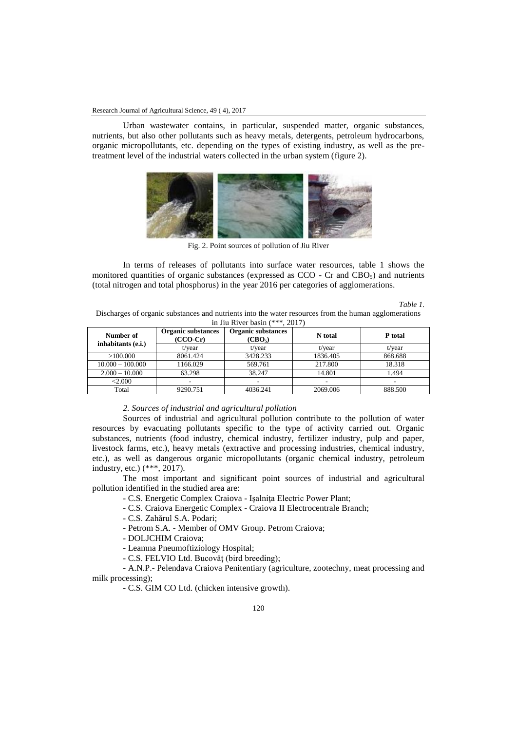Urban wastewater contains, in particular, suspended matter, organic substances, nutrients, but also other pollutants such as heavy metals, detergents, petroleum hydrocarbons, organic micropollutants, etc. depending on the types of existing industry, as well as the pretreatment level of the industrial waters collected in the urban system (figure 2).



Fig. 2. Point sources of pollution of Jiu River

In terms of releases of pollutants into surface water resources, table 1 shows the monitored quantities of organic substances (expressed as  $CCO - Cr$  and  $CBO<sub>5</sub>$ ) and nutrients (total nitrogen and total phosphorus) in the year 2016 per categories of agglomerations.

*Table 1.*

Discharges of organic substances and nutrients into the water resources from the human agglomerations in Jiu River basin (\*\*\*, 2017)

| Number of<br>inhabitants (e.i.) | Organic substances<br>$(CCO-Cr)$ | Organic substances<br>(CBO <sub>5</sub> ) | N total  | P total |
|---------------------------------|----------------------------------|-------------------------------------------|----------|---------|
|                                 | t/year                           | t/year                                    | t/vear   | t/year  |
| >100.000                        | 8061.424                         | 3428.233                                  | 1836.405 | 868.688 |
| $10.000 - 100.000$              | 1166.029                         | 569.761                                   | 217.800  | 18.318  |
| $2.000 - 10.000$                | 63.298                           | 38.247                                    | 14.801   | 1.494   |
| < 2.000                         | ۰                                | ۰                                         | ۰        | ۰.      |
| Total                           | 9290.751                         | 4036.241                                  | 2069.006 | 888.500 |

#### *2. Sources of industrial and agricultural pollution*

Sources of industrial and agricultural pollution contribute to the pollution of water resources by evacuating pollutants specific to the type of activity carried out. Organic substances, nutrients (food industry, chemical industry, fertilizer industry, pulp and paper, livestock farms, etc.), heavy metals (extractive and processing industries, chemical industry, etc.), as well as dangerous organic micropollutants (organic chemical industry, petroleum industry, etc.) (\*\*\*, 2017).

The most important and significant point sources of industrial and agricultural pollution identified in the studied area are:

- C.S. Energetic Complex Craiova - Işalniţa Electric Power Plant;

- C.S. Craiova Energetic Complex - Craiova II Electrocentrale Branch;

- C.S. Zahărul S.A. Podari;

- Petrom S.A. - Member of OMV Group. Petrom Craiova;

- DOLJCHIM Craiova;

- Leamna Pneumoftiziology Hospital;

- C.S. FELVIO Ltd. Bucovăţ (bird breeding);

- A.N.P.- Pelendava Craiova Penitentiary (agriculture, zootechny, meat processing and milk processing);

- C.S. GIM CO Ltd. (chicken intensive growth).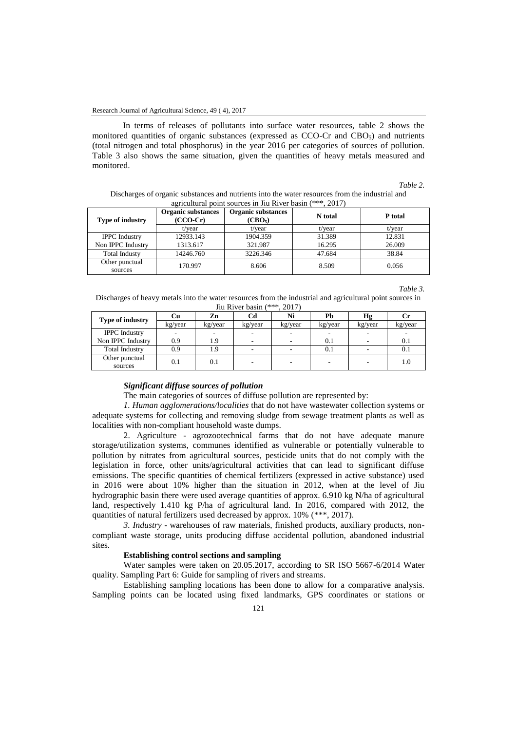In terms of releases of pollutants into surface water resources, table 2 shows the monitored quantities of organic substances (expressed as CCO-Cr and CBO<sub>5</sub>) and nutrients (total nitrogen and total phosphorus) in the year 2016 per categories of sources of pollution. Table 3 also shows the same situation, given the quantities of heavy metals measured and monitored.

*Table 2.*

Discharges of organic substances and nutrients into the water resources from the industrial and agricultural point sources in Jiu River basin (\*\*\*, 2017)

| <b>Type of industry</b>   | <b>Organic substances</b><br>$(CCO-Cr)$ | <b>Organic substances</b><br>(CBO <sub>5</sub> ) | N total | P total |  |
|---------------------------|-----------------------------------------|--------------------------------------------------|---------|---------|--|
|                           | t/vear                                  | t/vear                                           | t/vear  | t/year  |  |
| <b>IPPC</b> Industry      | 12933.143                               | 1904.359                                         | 31.389  | 12.831  |  |
| Non IPPC Industry         | 1313.617                                | 321.987                                          | 16.295  | 26.009  |  |
| <b>Total Industy</b>      | 14246.760                               | 3226.346                                         | 47.684  | 38.84   |  |
| Other punctual<br>sources | 170.997                                 | 8.606                                            | 8.509   | 0.056   |  |

#### *Table 3.*

Discharges of heavy metals into the water resources from the industrial and agricultural point sources in Jiu River basin (\*\*\*, 2017)

| <b>Type of industry</b>   | Сu      | Zn      | Cd      | Ni                       | Pb      | Нg      | U       |
|---------------------------|---------|---------|---------|--------------------------|---------|---------|---------|
|                           | kg/year | kg/year | kg/year | kg/year                  | kg/year | kg/year | kg/year |
| <b>IPPC</b> Industry      |         |         |         |                          |         |         |         |
| Non IPPC Industry         | 0.9     | 1.9     |         |                          | 0.1     |         | 0.1     |
| <b>Total Industry</b>     | 0.9     | 1.9     |         |                          | 0.1     |         | 0.1     |
| Other punctual<br>sources | 0.1     | 0.1     |         | $\overline{\phantom{a}}$ | $\sim$  |         | 1.0     |

## *Significant diffuse sources of pollution*

The main categories of sources of diffuse pollution are represented by:

*1. Human agglomerations/localities* that do not have wastewater collection systems or adequate systems for collecting and removing sludge from sewage treatment plants as well as localities with non-compliant household waste dumps.

2. Agriculture - agrozootechnical farms that do not have adequate manure storage/utilization systems, communes identified as vulnerable or potentially vulnerable to pollution by nitrates from agricultural sources, pesticide units that do not comply with the legislation in force, other units/agricultural activities that can lead to significant diffuse emissions. The specific quantities of chemical fertilizers (expressed in active substance) used in 2016 were about 10% higher than the situation in 2012, when at the level of Jiu hydrographic basin there were used average quantities of approx. 6.910 kg N/ha of agricultural land, respectively 1.410 kg P/ha of agricultural land. In 2016, compared with 2012, the quantities of natural fertilizers used decreased by approx. 10% (\*\*\*, 2017).

*3. Industry* - warehouses of raw materials, finished products, auxiliary products, noncompliant waste storage, units producing diffuse accidental pollution, abandoned industrial sites.

# **Establishing control sections and sampling**

Water samples were taken on 20.05.2017, according to SR ISO 5667-6/2014 Water quality. Sampling Part 6: Guide for sampling of rivers and streams.

Establishing sampling locations has been done to allow for a comparative analysis. Sampling points can be located using fixed landmarks, GPS coordinates or stations or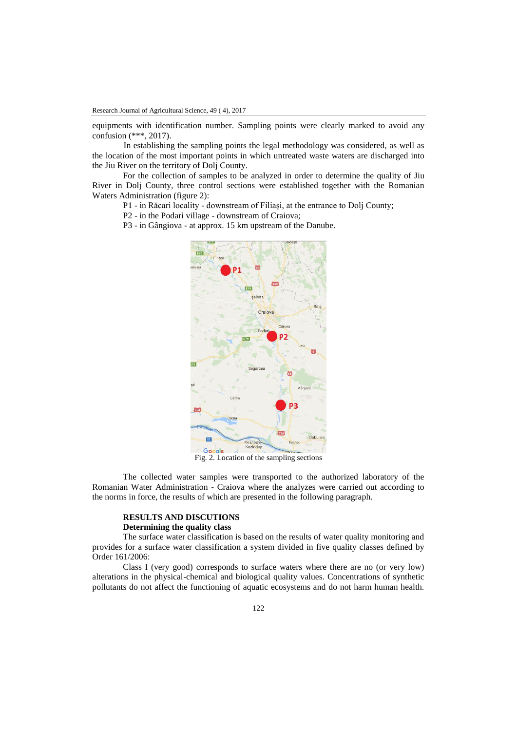equipments with identification number. Sampling points were clearly marked to avoid any confusion (\*\*\*, 2017).

In establishing the sampling points the legal methodology was considered, as well as the location of the most important points in which untreated waste waters are discharged into the Jiu River on the territory of Dolj County.

For the collection of samples to be analyzed in order to determine the quality of Jiu River in Dolj County, three control sections were established together with the Romanian Waters Administration (figure 2):

- P1 in Răcari locality downstream of Filiaşi, at the entrance to Dolj County;
- P2 in the Podari village downstream of Craiova;
- P3 in Gângiova at approx. 15 km upstream of the Danube.



The collected water samples were transported to the authorized laboratory of the Romanian Water Administration - Craiova where the analyzes were carried out according to the norms in force, the results of which are presented in the following paragraph.

# **RESULTS AND DISCUTIONS Determining the quality class**

The surface water classification is based on the results of water quality monitoring and provides for a surface water classification a system divided in five quality classes defined by Order 161/2006:

Class I (very good) corresponds to surface waters where there are no (or very low) alterations in the physical-chemical and biological quality values. Concentrations of synthetic pollutants do not affect the functioning of aquatic ecosystems and do not harm human health.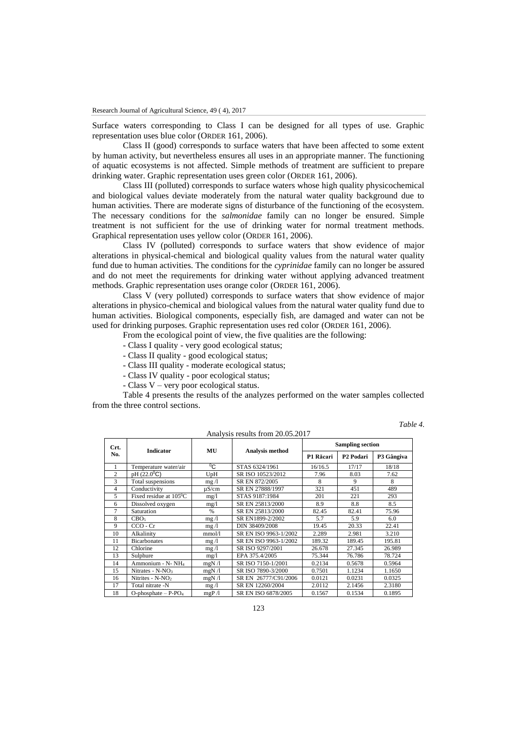Surface waters corresponding to Class I can be designed for all types of use. Graphic representation uses blue color (ORDER 161, 2006).

Class II (good) corresponds to surface waters that have been affected to some extent by human activity, but nevertheless ensures all uses in an appropriate manner. The functioning of aquatic ecosystems is not affected. Simple methods of treatment are sufficient to prepare drinking water. Graphic representation uses green color (ORDER 161, 2006).

Class III (polluted) corresponds to surface waters whose high quality physicochemical and biological values deviate moderately from the natural water quality background due to human activities. There are moderate signs of disturbance of the functioning of the ecosystem. The necessary conditions for the *salmonidae* family can no longer be ensured. Simple treatment is not sufficient for the use of drinking water for normal treatment methods. Graphical representation uses yellow color (ORDER 161, 2006).

Class IV (polluted) corresponds to surface waters that show evidence of major alterations in physical-chemical and biological quality values from the natural water quality fund due to human activities. The conditions for the *cyprinidae* family can no longer be assured and do not meet the requirements for drinking water without applying advanced treatment methods. Graphic representation uses orange color (ORDER 161, 2006).

Class V (very polluted) corresponds to surface waters that show evidence of major alterations in physico-chemical and biological values from the natural water quality fund due to human activities. Biological components, especially fish, are damaged and water can not be used for drinking purposes. Graphic representation uses red color (ORDER 161, 2006).

From the ecological point of view, the five qualities are the following:

- Class I quality very good ecological status;
- Class II quality good ecological status;
- Class III quality moderate ecological status;
- Class IV quality poor ecological status;
- Class V very poor ecological status.

Table 4 presents the results of the analyzes performed on the water samples collected from the three control sections.

| Crt.           |                                  |                       |                       | <b>Sampling section</b> |                       |            |  |
|----------------|----------------------------------|-----------------------|-----------------------|-------------------------|-----------------------|------------|--|
| No.            | <b>Indicator</b>                 | MU<br>Analysis method |                       | P1 Răcari               | P <sub>2</sub> Podari | P3 Gângiva |  |
|                | Temperature water/air            | $^0C$                 | STAS 6324/1961        | 16/16.5                 | 17/17                 | 18/18      |  |
| $\overline{c}$ | pH (22.0 <sup>o</sup> C)         | UpH                   | SR ISO 10523/2012     | 7.96                    | 8.03                  | 7.62       |  |
| 3              | Total suspensions                | mg/l                  | SR EN 872/2005        | 8                       | $\mathbf Q$           | 8          |  |
| 4              | Conductivity                     | $\mu$ S/cm            | SR EN 27888/1997      | 321                     | 451                   | 489        |  |
| 5              | Fixed residue at $105^{\circ}$ C | mg/1                  | STAS 9187:1984        | 201                     | 221                   | 293        |  |
| 6              | Dissolved oxygen                 | mg/1                  | SR EN 25813/2000      | 8.8<br>8.9              |                       | 8.5        |  |
| 7              | Saturation                       | $\frac{0}{0}$         | SR EN 25813/2000      | 82.45                   | 82.41                 | 75.96      |  |
| 8              | CBO <sub>5</sub>                 | mg/1                  | SR EN1899-2/2002      | 5.7                     | 5.9                   | 6.0        |  |
| 9              | $CCO - Cr$                       | mg/l                  | DIN 38409/2008        | 19.45                   | 20.33                 | 22.41      |  |
| 10             | Alkalinity                       | mmol/l                | SR EN ISO 9963-1/2002 | 2.289                   | 2.981                 | 3.210      |  |
| 11             | <b>Bicarbonates</b>              | mg/l                  | SR EN ISO 9963-1/2002 | 189.32                  | 189.45                | 195.81     |  |
| 12             | Chlorine                         | mg/1                  | SR ISO 9297/2001      | 26.678                  | 27.345                | 26.989     |  |
| 13             | Sulphure                         | mg/l                  | EPA 375.4/2005        | 75.344                  | 76.786                | 78.724     |  |
| 14             | Ammonium - N-NH <sub>4</sub>     | mgN/1                 | SR ISO 7150-1/2001    | 0.2134                  | 0.5678                | 0.5964     |  |
| 15             | Nitrates - N-NO <sub>3</sub>     | mgN/1                 | SR ISO 7890-3/2000    | 0.7501                  | 1.1234                | 1.1650     |  |
| 16             | Nitrites - $N-NO2$               | mgN/1                 | SR EN 26777/C91/2006  | 0.0121                  | 0.0231                | 0.0325     |  |
| 17             | Total nitrate -N                 | mg/1                  | SR EN 12260/2004      | 2.0112                  | 2.1456                | 2.3180     |  |
| 18             | $O$ -phosphate – $P$ - $PO4$     | mgP/1                 | SR EN ISO 6878/2005   | 0.1567                  | 0.1534                | 0.1895     |  |

Analysis results from 20.05.2017

*Table 4.*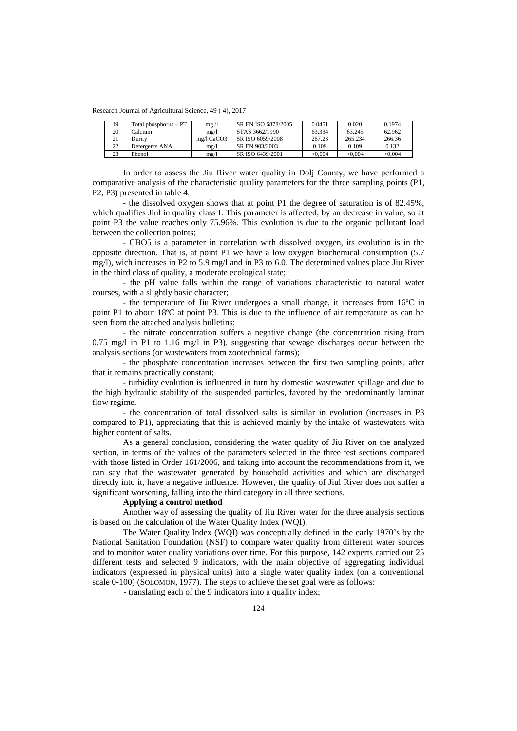Research Journal of Agricultural Science, 49 ( 4), 2017

| 19 | Total phosphorus – PT | mg/1       | SR EN ISO 6878/2005 | 0.0451  | 0.020   | 0.1974  |
|----|-----------------------|------------|---------------------|---------|---------|---------|
| 20 | Calcium               | mg/1       | STAS 3662/1990      | 63.334  | 63.245  | 62.962  |
| 21 | Duritv                | mg/l CaCO3 | SR ISO 6059/2008    | 267.23  | 265.234 | 266.36  |
| 22 | Detergents ANA        | mg/1       | SR EN 903/2003      | 0.109   | 0.109   | 0.132   |
| 23 | Phenol                | me/l       | SR ISO 6439/2001    | < 0.004 | < 0.004 | < 0.004 |

In order to assess the Jiu River water quality in Dolj County, we have performed a comparative analysis of the characteristic quality parameters for the three sampling points (P1, P2, P3) presented in table 4.

- the dissolved oxygen shows that at point P1 the degree of saturation is of 82.45%, which qualifies Jiul in quality class I. This parameter is affected, by an decrease in value, so at point P3 the value reaches only 75.96%. This evolution is due to the organic pollutant load between the collection points;

- CBO5 is a parameter in correlation with dissolved oxygen, its evolution is in the opposite direction. That is, at point P1 we have a low oxygen biochemical consumption (5.7 mg/l), wich increases in P2 to 5.9 mg/l and in P3 to 6.0. The determined values place Jiu River in the third class of quality, a moderate ecological state;

- the pH value falls within the range of variations characteristic to natural water courses, with a slightly basic character;

- the temperature of Jiu River undergoes a small change, it increases from 16ºC in point P1 to about 18ºC at point P3. This is due to the influence of air temperature as can be seen from the attached analysis bulletins;

- the nitrate concentration suffers a negative change (the concentration rising from 0.75 mg/l in P1 to 1.16 mg/l in P3), suggesting that sewage discharges occur between the analysis sections (or wastewaters from zootechnical farms);

- the phosphate concentration increases between the first two sampling points, after that it remains practically constant;

- turbidity evolution is influenced in turn by domestic wastewater spillage and due to the high hydraulic stability of the suspended particles, favored by the predominantly laminar flow regime.

- the concentration of total dissolved salts is similar in evolution (increases in P3 compared to P1), appreciating that this is achieved mainly by the intake of wastewaters with higher content of salts.

As a general conclusion, considering the water quality of Jiu River on the analyzed section, in terms of the values of the parameters selected in the three test sections compared with those listed in Order 161/2006, and taking into account the recommendations from it, we can say that the wastewater generated by household activities and which are discharged directly into it, have a negative influence. However, the quality of Jiul River does not suffer a significant worsening, falling into the third category in all three sections.

# **Applying a control method**

Another way of assessing the quality of Jiu River water for the three analysis sections is based on the calculation of the Water Quality Index (WQI).

The Water Quality Index (WQI) was conceptually defined in the early 1970's by the National Sanitation Foundation (NSF) to compare water quality from different water sources and to monitor water quality variations over time. For this purpose, 142 experts carried out 25 different tests and selected 9 indicators, with the main objective of aggregating individual indicators (expressed in physical units) into a single water quality index (on a conventional scale 0-100) (SOLOMON, 1977). The steps to achieve the set goal were as follows:

- translating each of the 9 indicators into a quality index;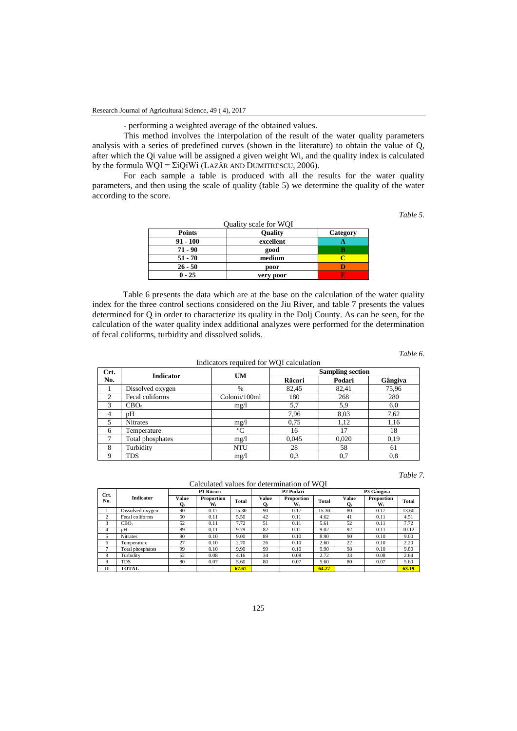- performing a weighted average of the obtained values.

This method involves the interpolation of the result of the water quality parameters analysis with a series of predefined curves (shown in the literature) to obtain the value of Q, after which the Qi value will be assigned a given weight Wi, and the quality index is calculated by the formula WQI = ΣiQiWi (LAZĂR AND DUMITRESCU, 2006).

For each sample a table is produced with all the results for the water quality parameters, and then using the scale of quality (table 5) we determine the quality of the water according to the score.

*Table 5.*

| Ouality scale for WOI |                |          |  |  |  |  |  |  |
|-----------------------|----------------|----------|--|--|--|--|--|--|
| <b>Points</b>         | <b>Ouality</b> | Category |  |  |  |  |  |  |
| 91 - 100              | excellent      |          |  |  |  |  |  |  |
| $71 - 90$             | good           |          |  |  |  |  |  |  |
| $51 - 70$             | medium         |          |  |  |  |  |  |  |
| $26 - 50$             | poor           |          |  |  |  |  |  |  |
| $0 - 25$              | very poor      |          |  |  |  |  |  |  |

 $Quality scale for WOT$ 

Table 6 presents the data which are at the base on the calculation of the water quality index for the three control sections considered on the Jiu River, and table 7 presents the values determined for Q in order to characterize its quality in the Dolj County. As can be seen, for the calculation of the water quality index additional analyzes were performed for the determination of fecal coliforms, turbidity and dissolved solids.

*Table 6*.

Indicators required for WQI calculation Crt.<br>No. **No. Indicator UM Sampling section Răcari Podari Gângiva** 1 Dissolved oxygen % 82,45 82,41 75,96<br>
2 Fecal coliforms Colonii/100ml 180 268 280 Fecal coliforms Colonii/100ml  $180$  268 280<br>CBO<sub>5</sub> mg/l 5.7 5.9 6.0 3 | CBO<sub>5</sub> | mg/l | 5,7 | 5,9 | 6,0 4 pH 7,96 8,03 7,62 5 Nitrates mg/l 0,75 1,12 1,16 6 Temperature **C** 16 17 18 7 | Total phosphates mg/l 0,045 0,020 0,19 8 Turbidity NTU 28 58 61 9 TDS mg/l 0,3 0,7 0,8

*Table 7.*

Calculated values for determination of WQI

| Crt.        | P1 Răcari        |                | P2 Podari        |       |             | P3 Gângiva       |       |                           |                  |              |
|-------------|------------------|----------------|------------------|-------|-------------|------------------|-------|---------------------------|------------------|--------------|
| No.         | <b>Indicator</b> | Value<br>$O_i$ | Proportion<br>W. | Total | Value<br>Oi | Proportion<br>W. | Total | Value<br>$\mathbf{O}_{i}$ | Proportion<br>W. | <b>Total</b> |
|             | Dissolved oxygen | 90             | 0.17             | 15.30 | 90          | 0.17             | 15.30 | 80                        | 0.17             | 13.60        |
|             | Fecal coliforms  | 50             | 0.11             | 5.50  | 42          | 0.11             | 4.62  | 41                        | 0.11             | 4.51         |
| 3           | CBO <sub>5</sub> | 52             | 0.11             | 7.72  | 51          | 0.11             | 5.61  | 52                        | 0.11             | 7.72         |
| 4           | pΗ               | 89             | 0.11             | 9.79  | 82          | 0.11             | 9.02  | 92                        | 0.11             | 10.12        |
| 5           | <b>Nitrates</b>  | 90             | 0.10             | 9.00  | 89          | 0.10             | 8.90  | 90                        | 0.10             | 9.00         |
| 6           | Temperature      | 27             | 0.10             | 2.70  | 26          | 0.10             | 2.60  | 22                        | 0.10             | 2.20         |
|             | Total phosphates | 99             | 0.10             | 9.90  | 99          | 0.10             | 9.90  | 98                        | 0.10             | 9.80         |
| 8           | Turbidity        | 52             | 0.08             | 4.16  | 34          | 0.08             | 2.72  | 33                        | 0.08             | 2.64         |
| $\mathbf Q$ | <b>TDS</b>       | 80             | 0.07             | 5.60  | 80          | 0.07             | 5.60  | 80                        | 0.07             | 5.60         |
| 10          | <b>TOTAL</b>     | ۰              |                  | 67.67 |             | ٠                | 64.27 | ۰                         |                  | 63.19        |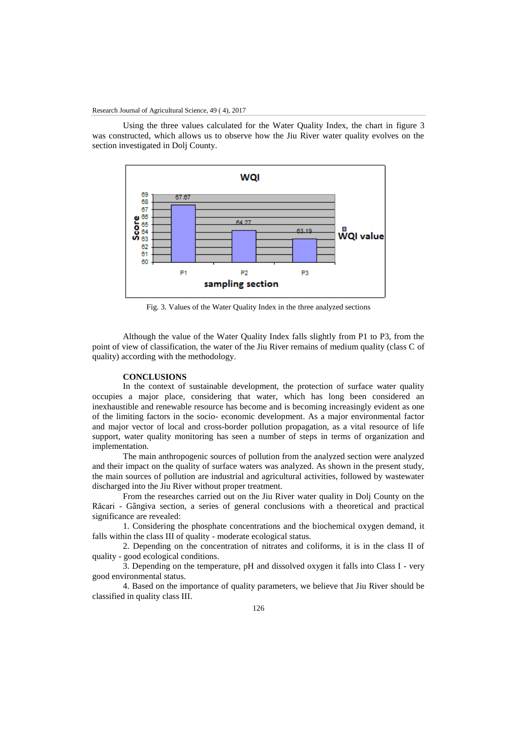Using the three values calculated for the Water Quality Index, the chart in figure 3 was constructed, which allows us to observe how the Jiu River water quality evolves on the section investigated in Dolj County.



Fig. 3. Values of the Water Quality Index in the three analyzed sections

Although the value of the Water Quality Index falls slightly from P1 to P3, from the point of view of classification, the water of the Jiu River remains of medium quality (class C of quality) according with the methodology.

## **CONCLUSIONS**

In the context of sustainable development, the protection of surface water quality occupies a major place, considering that water, which has long been considered an inexhaustible and renewable resource has become and is becoming increasingly evident as one of the limiting factors in the socio- economic development. As a major environmental factor and major vector of local and cross-border pollution propagation, as a vital resource of life support, water quality monitoring has seen a number of steps in terms of organization and implementation.

The main anthropogenic sources of pollution from the analyzed section were analyzed and their impact on the quality of surface waters was analyzed. As shown in the present study, the main sources of pollution are industrial and agricultural activities, followed by wastewater discharged into the Jiu River without proper treatment.

From the researches carried out on the Jiu River water quality in Dolj County on the Răcari - Gângiva section, a series of general conclusions with a theoretical and practical significance are revealed:

1. Considering the phosphate concentrations and the biochemical oxygen demand, it falls within the class III of quality - moderate ecological status.

2. Depending on the concentration of nitrates and coliforms, it is in the class II of quality - good ecological conditions.

3. Depending on the temperature, pH and dissolved oxygen it falls into Class I - very good environmental status.

4. Based on the importance of quality parameters, we believe that Jiu River should be classified in quality class III.